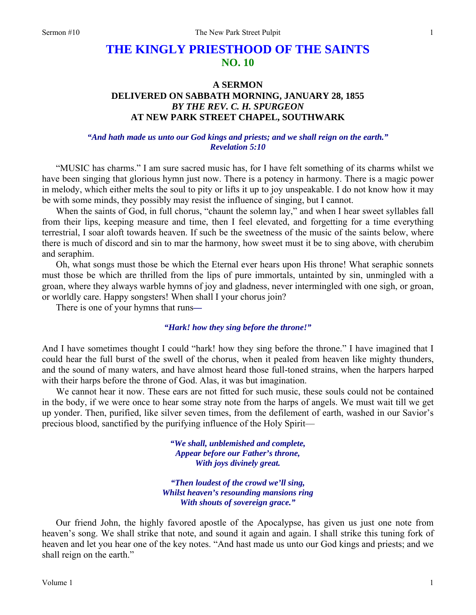# **THE KINGLY PRIESTHOOD OF THE SAINTS NO. 10**

# **A SERMON DELIVERED ON SABBATH MORNING, JANUARY 28, 1855**  *BY THE REV. C. H. SPURGEON*  **AT NEW PARK STREET CHAPEL, SOUTHWARK**

# *"And hath made us unto our God kings and priests; and we shall reign on the earth." Revelation 5:10*

"MUSIC has charms." I am sure sacred music has, for I have felt something of its charms whilst we have been singing that glorious hymn just now. There is a potency in harmony. There is a magic power in melody, which either melts the soul to pity or lifts it up to joy unspeakable. I do not know how it may be with some minds, they possibly may resist the influence of singing, but I cannot.

When the saints of God, in full chorus, "chaunt the solemn lay," and when I hear sweet syllables fall from their lips, keeping measure and time, then I feel elevated, and forgetting for a time everything terrestrial, I soar aloft towards heaven. If such be the sweetness of the music of the saints below, where there is much of discord and sin to mar the harmony, how sweet must it be to sing above, with cherubim and seraphim.

Oh, what songs must those be which the Eternal ever hears upon His throne! What seraphic sonnets must those be which are thrilled from the lips of pure immortals, untainted by sin, unmingled with a groan, where they always warble hymns of joy and gladness, never intermingled with one sigh, or groan, or worldly care. Happy songsters! When shall I your chorus join?

There is one of your hymns that runs*—* 

#### *"Hark! how they sing before the throne!"*

And I have sometimes thought I could "hark! how they sing before the throne." I have imagined that I could hear the full burst of the swell of the chorus, when it pealed from heaven like mighty thunders, and the sound of many waters, and have almost heard those full-toned strains, when the harpers harped with their harps before the throne of God. Alas, it was but imagination.

We cannot hear it now. These ears are not fitted for such music, these souls could not be contained in the body, if we were once to hear some stray note from the harps of angels. We must wait till we get up yonder. Then, purified, like silver seven times, from the defilement of earth, washed in our Savior's precious blood, sanctified by the purifying influence of the Holy Spirit—

> *"We shall, unblemished and complete, Appear before our Father's throne, With joys divinely great.*

*"Then loudest of the crowd we'll sing, Whilst heaven's resounding mansions ring With shouts of sovereign grace."* 

Our friend John, the highly favored apostle of the Apocalypse, has given us just one note from heaven's song. We shall strike that note, and sound it again and again. I shall strike this tuning fork of heaven and let you hear one of the key notes. "And hast made us unto our God kings and priests; and we shall reign on the earth."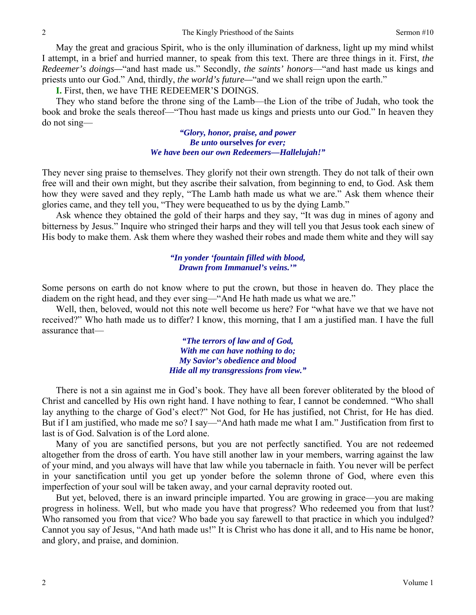May the great and gracious Spirit, who is the only illumination of darkness, light up my mind whilst I attempt, in a brief and hurried manner, to speak from this text. There are three things in it. First, *the Redeemer's doings—*"and hast made us." Secondly, *the saints' honors*—"and hast made us kings and priests unto our God." And, thirdly, *the world's future—*"and we shall reign upon the earth."

**I.** First, then, we have THE REDEEMER'S DOINGS.

They who stand before the throne sing of the Lamb—the Lion of the tribe of Judah, who took the book and broke the seals thereof—"Thou hast made us kings and priests unto our God." In heaven they do not sing—

> *"Glory, honor, praise, and power Be unto* **ourselves** *for ever; We have been our own Redeemers—Hallelujah!"*

They never sing praise to themselves. They glorify not their own strength. They do not talk of their own free will and their own might, but they ascribe their salvation, from beginning to end, to God. Ask them how they were saved and they reply, "The Lamb hath made us what we are." Ask them whence their glories came, and they tell you, "They were bequeathed to us by the dying Lamb."

Ask whence they obtained the gold of their harps and they say, "It was dug in mines of agony and bitterness by Jesus." Inquire who stringed their harps and they will tell you that Jesus took each sinew of His body to make them. Ask them where they washed their robes and made them white and they will say

#### *"In yonder 'fountain filled with blood, Drawn from Immanuel's veins.'"*

Some persons on earth do not know where to put the crown, but those in heaven do. They place the diadem on the right head, and they ever sing—"And He hath made us what we are."

Well, then, beloved, would not this note well become us here? For "what have we that we have not received?" Who hath made us to differ? I know, this morning, that I am a justified man. I have the full assurance that—

> *"The terrors of law and of God, With me can have nothing to do; My Savior's obedience and blood Hide all my transgressions from view."*

There is not a sin against me in God's book. They have all been forever obliterated by the blood of Christ and cancelled by His own right hand. I have nothing to fear, I cannot be condemned. "Who shall lay anything to the charge of God's elect?" Not God, for He has justified, not Christ, for He has died. But if I am justified, who made me so? I say—"And hath made me what I am." Justification from first to last is of God. Salvation is of the Lord alone.

Many of you are sanctified persons, but you are not perfectly sanctified. You are not redeemed altogether from the dross of earth. You have still another law in your members, warring against the law of your mind, and you always will have that law while you tabernacle in faith. You never will be perfect in your sanctification until you get up yonder before the solemn throne of God, where even this imperfection of your soul will be taken away, and your carnal depravity rooted out.

But yet, beloved, there is an inward principle imparted. You are growing in grace—you are making progress in holiness. Well, but who made you have that progress? Who redeemed you from that lust? Who ransomed you from that vice? Who bade you say farewell to that practice in which you indulged? Cannot you say of Jesus, "And hath made us!" It is Christ who has done it all, and to His name be honor, and glory, and praise, and dominion.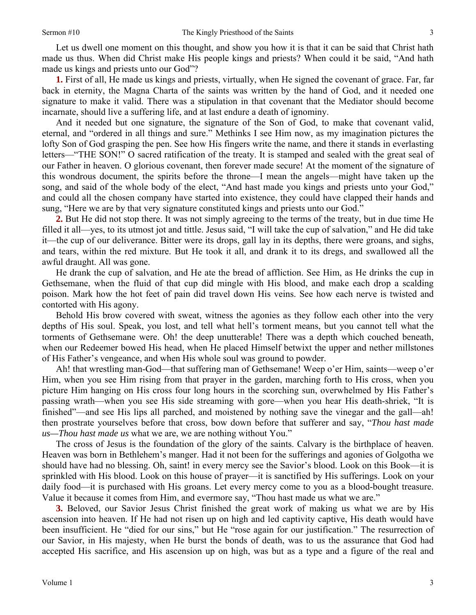Let us dwell one moment on this thought, and show you how it is that it can be said that Christ hath made us thus. When did Christ make His people kings and priests? When could it be said, "And hath made us kings and priests unto our God"?

**1.** First of all, He made us kings and priests, virtually, when He signed the covenant of grace. Far, far back in eternity, the Magna Charta of the saints was written by the hand of God, and it needed one signature to make it valid. There was a stipulation in that covenant that the Mediator should become incarnate, should live a suffering life, and at last endure a death of ignominy.

And it needed but one signature, the signature of the Son of God, to make that covenant valid, eternal, and "ordered in all things and sure." Methinks I see Him now, as my imagination pictures the lofty Son of God grasping the pen. See how His fingers write the name, and there it stands in everlasting letters—"THE SON!" O sacred ratification of the treaty. It is stamped and sealed with the great seal of our Father in heaven. O glorious covenant, then forever made secure! At the moment of the signature of this wondrous document, the spirits before the throne—I mean the angels—might have taken up the song, and said of the whole body of the elect, "And hast made you kings and priests unto your God," and could all the chosen company have started into existence, they could have clapped their hands and sung, "Here we are by that very signature constituted kings and priests unto our God."

**2.** But He did not stop there. It was not simply agreeing to the terms of the treaty, but in due time He filled it all—yes, to its utmost jot and tittle. Jesus said, "I will take the cup of salvation," and He did take it—the cup of our deliverance. Bitter were its drops, gall lay in its depths, there were groans, and sighs, and tears, within the red mixture. But He took it all, and drank it to its dregs, and swallowed all the awful draught. All was gone.

He drank the cup of salvation, and He ate the bread of affliction. See Him, as He drinks the cup in Gethsemane, when the fluid of that cup did mingle with His blood, and make each drop a scalding poison. Mark how the hot feet of pain did travel down His veins. See how each nerve is twisted and contorted with His agony.

Behold His brow covered with sweat, witness the agonies as they follow each other into the very depths of His soul. Speak, you lost, and tell what hell's torment means, but you cannot tell what the torments of Gethsemane were. Oh! the deep unutterable! There was a depth which couched beneath, when our Redeemer bowed His head, when He placed Himself betwixt the upper and nether millstones of His Father's vengeance, and when His whole soul was ground to powder.

Ah! that wrestling man-God—that suffering man of Gethsemane! Weep o'er Him, saints—weep o'er Him, when you see Him rising from that prayer in the garden, marching forth to His cross, when you picture Him hanging on His cross four long hours in the scorching sun, overwhelmed by His Father's passing wrath—when you see His side streaming with gore—when you hear His death-shriek, "It is finished"—and see His lips all parched, and moistened by nothing save the vinegar and the gall—ah! then prostrate yourselves before that cross, bow down before that sufferer and say, "*Thou hast made us—Thou hast made us* what we are, we are nothing without You."

The cross of Jesus is the foundation of the glory of the saints. Calvary is the birthplace of heaven. Heaven was born in Bethlehem's manger. Had it not been for the sufferings and agonies of Golgotha we should have had no blessing. Oh, saint! in every mercy see the Savior's blood. Look on this Book—it is sprinkled with His blood. Look on this house of prayer—it is sanctified by His sufferings. Look on your daily food—it is purchased with His groans. Let every mercy come to you as a blood-bought treasure. Value it because it comes from Him, and evermore say, "Thou hast made us what we are."

**3.** Beloved, our Savior Jesus Christ finished the great work of making us what we are by His ascension into heaven. If He had not risen up on high and led captivity captive, His death would have been insufficient. He "died for our sins," but He "rose again for our justification." The resurrection of our Savior, in His majesty, when He burst the bonds of death, was to us the assurance that God had accepted His sacrifice, and His ascension up on high, was but as a type and a figure of the real and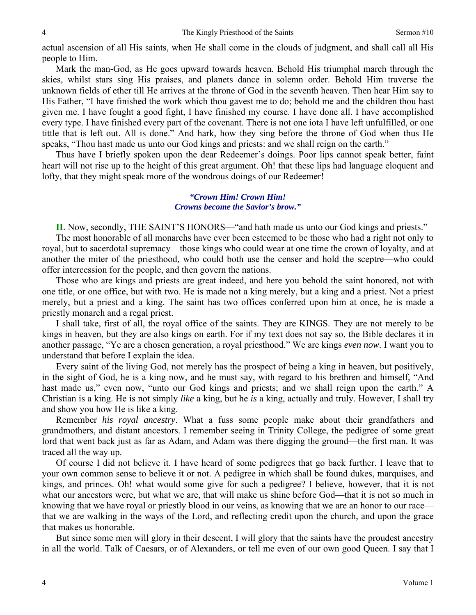actual ascension of all His saints, when He shall come in the clouds of judgment, and shall call all His people to Him.

Mark the man-God, as He goes upward towards heaven. Behold His triumphal march through the skies, whilst stars sing His praises, and planets dance in solemn order. Behold Him traverse the unknown fields of ether till He arrives at the throne of God in the seventh heaven. Then hear Him say to His Father, "I have finished the work which thou gavest me to do; behold me and the children thou hast given me. I have fought a good fight, I have finished my course. I have done all. I have accomplished every type. I have finished every part of the covenant. There is not one iota I have left unfulfilled, or one tittle that is left out. All is done." And hark, how they sing before the throne of God when thus He speaks, "Thou hast made us unto our God kings and priests: and we shall reign on the earth."

Thus have I briefly spoken upon the dear Redeemer's doings. Poor lips cannot speak better, faint heart will not rise up to the height of this great argument. Oh! that these lips had language eloquent and lofty, that they might speak more of the wondrous doings of our Redeemer!

## *"Crown Him! Crown Him! Crowns become the Savior's brow."*

**II.** Now, secondly, THE SAINT'S HONORS—"and hath made us unto our God kings and priests."

The most honorable of all monarchs have ever been esteemed to be those who had a right not only to royal, but to sacerdotal supremacy—those kings who could wear at one time the crown of loyalty, and at another the miter of the priesthood, who could both use the censer and hold the sceptre—who could offer intercession for the people, and then govern the nations.

Those who are kings and priests are great indeed, and here you behold the saint honored, not with one title, or one office, but with two. He is made not a king merely, but a king and a priest. Not a priest merely, but a priest and a king. The saint has two offices conferred upon him at once, he is made a priestly monarch and a regal priest.

I shall take, first of all, the royal office of the saints. They are KINGS. They are not merely to be kings in heaven, but they are also kings on earth. For if my text does not say so, the Bible declares it in another passage, "Ye are a chosen generation, a royal priesthood." We are kings *even now*. I want you to understand that before I explain the idea.

Every saint of the living God, not merely has the prospect of being a king in heaven, but positively, in the sight of God, he is a king now, and he must say, with regard to his brethren and himself, "And hast made us," even now, "unto our God kings and priests; and we shall reign upon the earth." A Christian is a king. He is not simply *like* a king, but he *is* a king, actually and truly. However, I shall try and show you how He is like a king.

Remember *his royal ancestry*. What a fuss some people make about their grandfathers and grandmothers, and distant ancestors. I remember seeing in Trinity College, the pedigree of some great lord that went back just as far as Adam, and Adam was there digging the ground—the first man. It was traced all the way up.

Of course I did not believe it. I have heard of some pedigrees that go back further. I leave that to your own common sense to believe it or not. A pedigree in which shall be found dukes, marquises, and kings, and princes. Oh! what would some give for such a pedigree? I believe, however, that it is not what our ancestors were, but what we are, that will make us shine before God—that it is not so much in knowing that we have royal or priestly blood in our veins, as knowing that we are an honor to our race that we are walking in the ways of the Lord, and reflecting credit upon the church, and upon the grace that makes us honorable.

But since some men will glory in their descent, I will glory that the saints have the proudest ancestry in all the world. Talk of Caesars, or of Alexanders, or tell me even of our own good Queen. I say that I

4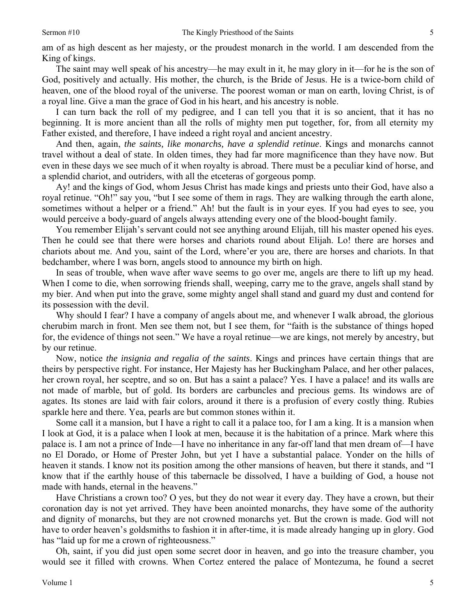5

am of as high descent as her majesty, or the proudest monarch in the world. I am descended from the King of kings.

The saint may well speak of his ancestry—he may exult in it, he may glory in it—for he is the son of God, positively and actually. His mother, the church, is the Bride of Jesus. He is a twice-born child of heaven, one of the blood royal of the universe. The poorest woman or man on earth, loving Christ, is of a royal line. Give a man the grace of God in his heart, and his ancestry is noble.

I can turn back the roll of my pedigree, and I can tell you that it is so ancient, that it has no beginning. It is more ancient than all the rolls of mighty men put together, for, from all eternity my Father existed, and therefore, I have indeed a right royal and ancient ancestry.

And then, again, *the saints, like monarchs, have a splendid retinue*. Kings and monarchs cannot travel without a deal of state. In olden times, they had far more magnificence than they have now. But even in these days we see much of it when royalty is abroad. There must be a peculiar kind of horse, and a splendid chariot, and outriders, with all the etceteras of gorgeous pomp.

Ay! and the kings of God, whom Jesus Christ has made kings and priests unto their God, have also a royal retinue. "Oh!" say you, "but I see some of them in rags. They are walking through the earth alone, sometimes without a helper or a friend." Ah! but the fault is in your eyes. If you had eyes to see, you would perceive a body-guard of angels always attending every one of the blood-bought family.

You remember Elijah's servant could not see anything around Elijah, till his master opened his eyes. Then he could see that there were horses and chariots round about Elijah. Lo! there are horses and chariots about me. And you, saint of the Lord, where'er you are, there are horses and chariots. In that bedchamber, where I was born, angels stood to announce my birth on high.

In seas of trouble, when wave after wave seems to go over me, angels are there to lift up my head. When I come to die, when sorrowing friends shall, weeping, carry me to the grave, angels shall stand by my bier. And when put into the grave, some mighty angel shall stand and guard my dust and contend for its possession with the devil.

Why should I fear? I have a company of angels about me, and whenever I walk abroad, the glorious cherubim march in front. Men see them not, but I see them, for "faith is the substance of things hoped for, the evidence of things not seen." We have a royal retinue—we are kings, not merely by ancestry, but by our retinue.

Now, notice *the insignia and regalia of the saints*. Kings and princes have certain things that are theirs by perspective right. For instance, Her Majesty has her Buckingham Palace, and her other palaces, her crown royal, her sceptre, and so on. But has a saint a palace? Yes. I have a palace! and its walls are not made of marble, but of gold. Its borders are carbuncles and precious gems. Its windows are of agates. Its stones are laid with fair colors, around it there is a profusion of every costly thing. Rubies sparkle here and there. Yea, pearls are but common stones within it.

Some call it a mansion, but I have a right to call it a palace too, for I am a king. It is a mansion when I look at God, it is a palace when I look at men, because it is the habitation of a prince. Mark where this palace is. I am not a prince of Inde—I have no inheritance in any far-off land that men dream of—I have no El Dorado, or Home of Prester John, but yet I have a substantial palace. Yonder on the hills of heaven it stands. I know not its position among the other mansions of heaven, but there it stands, and "I know that if the earthly house of this tabernacle be dissolved, I have a building of God, a house not made with hands, eternal in the heavens."

Have Christians a crown too? O yes, but they do not wear it every day. They have a crown, but their coronation day is not yet arrived. They have been anointed monarchs, they have some of the authority and dignity of monarchs, but they are not crowned monarchs yet. But the crown is made. God will not have to order heaven's goldsmiths to fashion it in after-time, it is made already hanging up in glory. God has "laid up for me a crown of righteousness."

Oh, saint, if you did just open some secret door in heaven, and go into the treasure chamber, you would see it filled with crowns. When Cortez entered the palace of Montezuma, he found a secret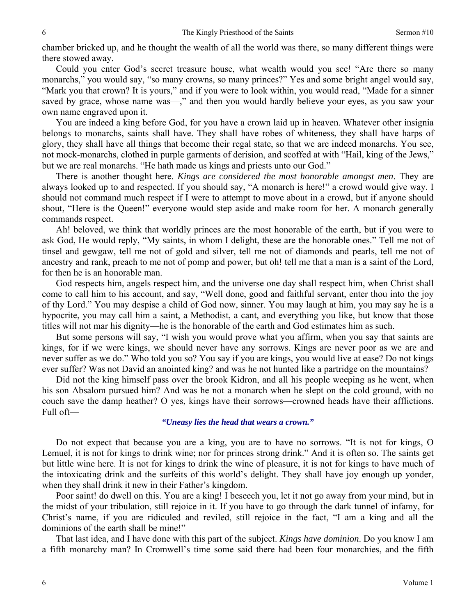chamber bricked up, and he thought the wealth of all the world was there, so many different things were there stowed away.

Could you enter God's secret treasure house, what wealth would you see! "Are there so many monarchs," you would say, "so many crowns, so many princes?" Yes and some bright angel would say, "Mark you that crown? It is yours," and if you were to look within, you would read, "Made for a sinner saved by grace, whose name was—," and then you would hardly believe your eyes, as you saw your own name engraved upon it.

You are indeed a king before God, for you have a crown laid up in heaven. Whatever other insignia belongs to monarchs, saints shall have. They shall have robes of whiteness, they shall have harps of glory, they shall have all things that become their regal state, so that we are indeed monarchs. You see, not mock-monarchs, clothed in purple garments of derision, and scoffed at with "Hail, king of the Jews," but we are real monarchs. "He hath made us kings and priests unto our God."

There is another thought here. *Kings are considered the most honorable amongst men*. They are always looked up to and respected. If you should say, "A monarch is here!" a crowd would give way. I should not command much respect if I were to attempt to move about in a crowd, but if anyone should shout, "Here is the Queen!" everyone would step aside and make room for her. A monarch generally commands respect.

Ah! beloved, we think that worldly princes are the most honorable of the earth, but if you were to ask God, He would reply, "My saints, in whom I delight, these are the honorable ones." Tell me not of tinsel and gewgaw, tell me not of gold and silver, tell me not of diamonds and pearls, tell me not of ancestry and rank, preach to me not of pomp and power, but oh! tell me that a man is a saint of the Lord, for then he is an honorable man.

God respects him, angels respect him, and the universe one day shall respect him, when Christ shall come to call him to his account, and say, "Well done, good and faithful servant, enter thou into the joy of thy Lord." You may despise a child of God now, sinner. You may laugh at him, you may say he is a hypocrite, you may call him a saint, a Methodist, a cant, and everything you like, but know that those titles will not mar his dignity—he is the honorable of the earth and God estimates him as such.

But some persons will say, "I wish you would prove what you affirm, when you say that saints are kings, for if we were kings, we should never have any sorrows. Kings are never poor as we are and never suffer as we do." Who told you so? You say if you are kings, you would live at ease? Do not kings ever suffer? Was not David an anointed king? and was he not hunted like a partridge on the mountains?

Did not the king himself pass over the brook Kidron, and all his people weeping as he went, when his son Absalom pursued him? And was he not a monarch when he slept on the cold ground, with no couch save the damp heather? O yes, kings have their sorrows—crowned heads have their afflictions. Full oft—

#### *"Uneasy lies the head that wears a crown."*

Do not expect that because you are a king, you are to have no sorrows. "It is not for kings, O Lemuel, it is not for kings to drink wine; nor for princes strong drink." And it is often so. The saints get but little wine here. It is not for kings to drink the wine of pleasure, it is not for kings to have much of the intoxicating drink and the surfeits of this world's delight. They shall have joy enough up yonder, when they shall drink it new in their Father's kingdom.

Poor saint! do dwell on this. You are a king! I beseech you, let it not go away from your mind, but in the midst of your tribulation, still rejoice in it. If you have to go through the dark tunnel of infamy, for Christ's name, if you are ridiculed and reviled, still rejoice in the fact, "I am a king and all the dominions of the earth shall be mine!"

That last idea, and I have done with this part of the subject. *Kings have dominion*. Do you know I am a fifth monarchy man? In Cromwell's time some said there had been four monarchies, and the fifth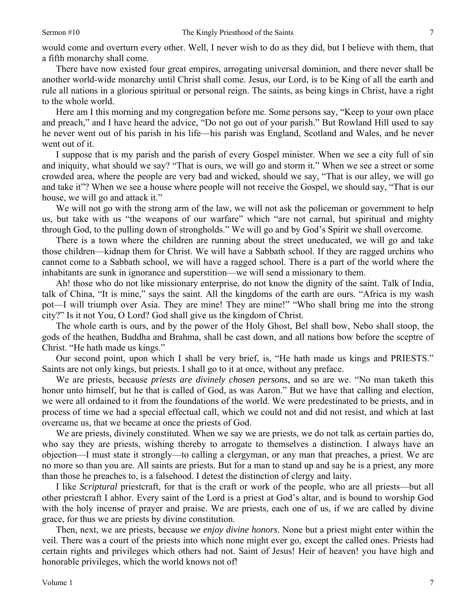would come and overturn every other. Well, I never wish to do as they did, but I believe with them, that a fifth monarchy shall come.

There have now existed four great empires, arrogating universal dominion, and there never shall be another world-wide monarchy until Christ shall come. Jesus, our Lord, is to be King of all the earth and rule all nations in a glorious spiritual or personal reign. The saints, as being kings in Christ, have a right to the whole world.

Here am I this morning and my congregation before me. Some persons say, "Keep to your own place and preach," and I have heard the advice, "Do not go out of your parish." But Rowland Hill used to say he never went out of his parish in his life—his parish was England, Scotland and Wales, and he never went out of it.

I suppose that is my parish and the parish of every Gospel minister. When we see a city full of sin and iniquity, what should we say? "That is ours, we will go and storm it." When we see a street or some crowded area, where the people are very bad and wicked, should we say, "That is our alley, we will go and take it"? When we see a house where people will not receive the Gospel, we should say, "That is our house, we will go and attack it."

We will not go with the strong arm of the law, we will not ask the policeman or government to help us, but take with us "the weapons of our warfare" which "are not carnal, but spiritual and mighty through God, to the pulling down of strongholds." We will go and by God's Spirit we shall overcome.

There is a town where the children are running about the street uneducated, we will go and take those children—kidnap them for Christ. We will have a Sabbath school. If they are ragged urchins who cannot come to a Sabbath school, we will have a ragged school. There is a part of the world where the inhabitants are sunk in ignorance and superstition—we will send a missionary to them.

Ah! those who do not like missionary enterprise, do not know the dignity of the saint. Talk of India, talk of China, "It is mine," says the saint. All the kingdoms of the earth are ours. "Africa is my wash pot—I will triumph over Asia. They are mine! They are mine!" "Who shall bring me into the strong city?" Is it not You, O Lord? God shall give us the kingdom of Christ.

The whole earth is ours, and by the power of the Holy Ghost, Bel shall bow, Nebo shall stoop, the gods of the heathen, Buddha and Brahma, shall be cast down, and all nations bow before the sceptre of Christ. "He hath made us kings."

Our second point, upon which I shall be very brief, is, "He hath made us kings and PRIESTS." Saints are not only kings, but priests. I shall go to it at once, without any preface.

We are priests, because *priests are divinely chosen persons*, and so are we. "No man taketh this honor unto himself, but he that is called of God, as was Aaron." But we have that calling and election, we were all ordained to it from the foundations of the world. We were predestinated to be priests, and in process of time we had a special effectual call, which we could not and did not resist, and which at last overcame us, that we became at once the priests of God.

We are priests, divinely constituted. When we say we are priests, we do not talk as certain parties do, who say they are priests, wishing thereby to arrogate to themselves a distinction. I always have an objection—I must state it strongly—to calling a clergyman, or any man that preaches, a priest. We are no more so than you are. All saints are priests. But for a man to stand up and say he is a priest, any more than those he preaches to, is a falsehood. I detest the distinction of clergy and laity.

I like *Scriptural* priestcraft, for that is the craft or work of the people, who are all priests—but all other priestcraft I abhor. Every saint of the Lord is a priest at God's altar, and is bound to worship God with the holy incense of prayer and praise. We are priests, each one of us, if we are called by divine grace, for thus we are priests by divine constitution.

Then, next, we are priests, because *we enjoy divine honors*. None but a priest might enter within the veil. There was a court of the priests into which none might ever go, except the called ones. Priests had certain rights and privileges which others had not. Saint of Jesus! Heir of heaven! you have high and honorable privileges, which the world knows not of!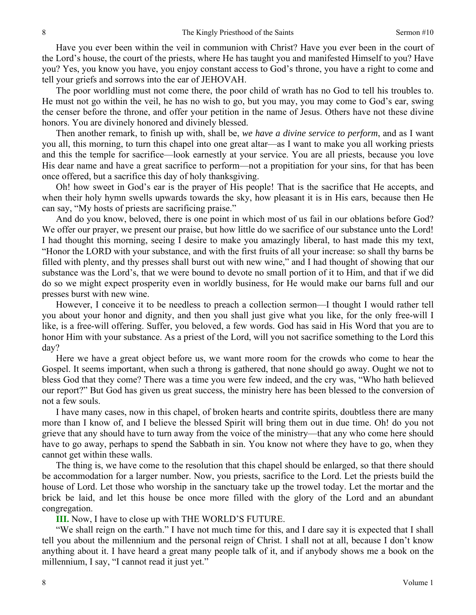Have you ever been within the veil in communion with Christ? Have you ever been in the court of the Lord's house, the court of the priests, where He has taught you and manifested Himself to you? Have you? Yes, you know you have, you enjoy constant access to God's throne, you have a right to come and tell your griefs and sorrows into the ear of JEHOVAH.

The poor worldling must not come there, the poor child of wrath has no God to tell his troubles to. He must not go within the veil, he has no wish to go, but you may, you may come to God's ear, swing the censer before the throne, and offer your petition in the name of Jesus. Others have not these divine honors. You are divinely honored and divinely blessed.

Then another remark, to finish up with, shall be, *we have a divine service to perform*, and as I want you all, this morning, to turn this chapel into one great altar—as I want to make you all working priests and this the temple for sacrifice—look earnestly at your service. You are all priests, because you love His dear name and have a great sacrifice to perform—not a propitiation for your sins, for that has been once offered, but a sacrifice this day of holy thanksgiving.

Oh! how sweet in God's ear is the prayer of His people! That is the sacrifice that He accepts, and when their holy hymn swells upwards towards the sky, how pleasant it is in His ears, because then He can say, "My hosts of priests are sacrificing praise."

And do you know, beloved, there is one point in which most of us fail in our oblations before God? We offer our prayer, we present our praise, but how little do we sacrifice of our substance unto the Lord! I had thought this morning, seeing I desire to make you amazingly liberal, to hast made this my text, "Honor the LORD with your substance, and with the first fruits of all your increase: so shall thy barns be filled with plenty, and thy presses shall burst out with new wine," and I had thought of showing that our substance was the Lord's, that we were bound to devote no small portion of it to Him, and that if we did do so we might expect prosperity even in worldly business, for He would make our barns full and our presses burst with new wine.

However, I conceive it to be needless to preach a collection sermon—I thought I would rather tell you about your honor and dignity, and then you shall just give what you like, for the only free-will I like, is a free-will offering. Suffer, you beloved, a few words. God has said in His Word that you are to honor Him with your substance. As a priest of the Lord, will you not sacrifice something to the Lord this day?

Here we have a great object before us, we want more room for the crowds who come to hear the Gospel. It seems important, when such a throng is gathered, that none should go away. Ought we not to bless God that they come? There was a time you were few indeed, and the cry was, "Who hath believed our report?" But God has given us great success, the ministry here has been blessed to the conversion of not a few souls.

I have many cases, now in this chapel, of broken hearts and contrite spirits, doubtless there are many more than I know of, and I believe the blessed Spirit will bring them out in due time. Oh! do you not grieve that any should have to turn away from the voice of the ministry—that any who come here should have to go away, perhaps to spend the Sabbath in sin. You know not where they have to go, when they cannot get within these walls.

The thing is, we have come to the resolution that this chapel should be enlarged, so that there should be accommodation for a larger number. Now, you priests, sacrifice to the Lord. Let the priests build the house of Lord. Let those who worship in the sanctuary take up the trowel today. Let the mortar and the brick be laid, and let this house be once more filled with the glory of the Lord and an abundant congregation.

**III.** Now, I have to close up with THE WORLD'S FUTURE.

"We shall reign on the earth." I have not much time for this, and I dare say it is expected that I shall tell you about the millennium and the personal reign of Christ. I shall not at all, because I don't know anything about it. I have heard a great many people talk of it, and if anybody shows me a book on the millennium, I say, "I cannot read it just yet."

8

8